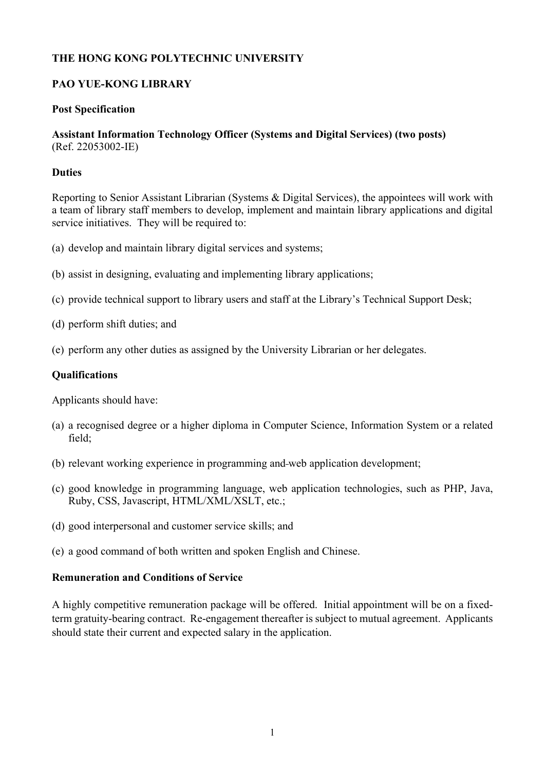## **THE HONG KONG POLYTECHNIC UNIVERSITY**

## **PAO YUE-KONG LIBRARY**

#### **Post Specification**

### **Assistant Information Technology Officer (Systems and Digital Services) (two posts)**  (Ref. 22053002-IE)

### **Duties**

Reporting to Senior Assistant Librarian (Systems & Digital Services), the appointees will work with a team of library staff members to develop, implement and maintain library applications and digital service initiatives. They will be required to:

- (a) develop and maintain library digital services and systems;
- (b) assist in designing, evaluating and implementing library applications;
- (c) provide technical support to library users and staff at the Library's Technical Support Desk;
- (d) perform shift duties; and
- (e) perform any other duties as assigned by the University Librarian or her delegates.

### **Qualifications**

Applicants should have:

- (a) a recognised degree or a higher diploma in Computer Science, Information System or a related field;
- (b) relevant working experience in programming and web application development;
- (c) good knowledge in programming language, web application technologies, such as PHP, Java, Ruby, CSS, Javascript, HTML/XML/XSLT, etc.;
- (d) good interpersonal and customer service skills; and
- (e) a good command of both written and spoken English and Chinese.

#### **Remuneration and Conditions of Service**

A highly competitive remuneration package will be offered. Initial appointment will be on a fixedterm gratuity-bearing contract. Re-engagement thereafter is subject to mutual agreement. Applicants should state their current and expected salary in the application.